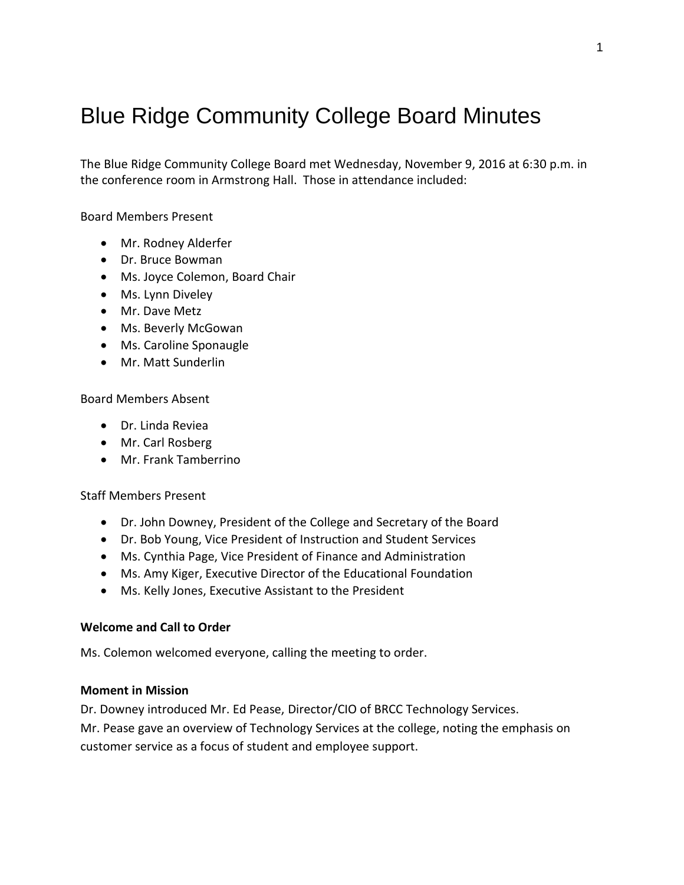# Blue Ridge Community College Board Minutes

The Blue Ridge Community College Board met Wednesday, November 9, 2016 at 6:30 p.m. in the conference room in Armstrong Hall. Those in attendance included:

Board Members Present

- Mr. Rodney Alderfer
- Dr. Bruce Bowman
- Ms. Joyce Colemon, Board Chair
- Ms. Lynn Diveley
- Mr. Dave Metz
- Ms. Beverly McGowan
- Ms. Caroline Sponaugle
- Mr. Matt Sunderlin

Board Members Absent

- Dr. Linda Reviea
- Mr. Carl Rosberg
- Mr. Frank Tamberrino

Staff Members Present

- Dr. John Downey, President of the College and Secretary of the Board
- Dr. Bob Young, Vice President of Instruction and Student Services
- Ms. Cynthia Page, Vice President of Finance and Administration
- Ms. Amy Kiger, Executive Director of the Educational Foundation
- Ms. Kelly Jones, Executive Assistant to the President

## **Welcome and Call to Order**

Ms. Colemon welcomed everyone, calling the meeting to order.

#### **Moment in Mission**

Dr. Downey introduced Mr. Ed Pease, Director/CIO of BRCC Technology Services.

Mr. Pease gave an overview of Technology Services at the college, noting the emphasis on customer service as a focus of student and employee support.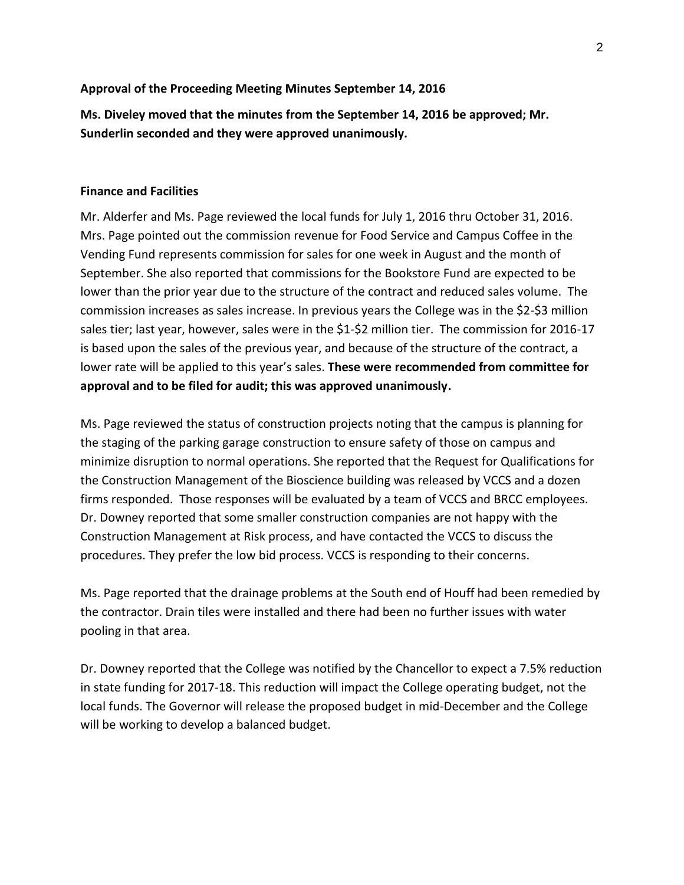## **Approval of the Proceeding Meeting Minutes September 14, 2016**

**Ms. Diveley moved that the minutes from the September 14, 2016 be approved; Mr. Sunderlin seconded and they were approved unanimously.**

## **Finance and Facilities**

Mr. Alderfer and Ms. Page reviewed the local funds for July 1, 2016 thru October 31, 2016. Mrs. Page pointed out the commission revenue for Food Service and Campus Coffee in the Vending Fund represents commission for sales for one week in August and the month of September. She also reported that commissions for the Bookstore Fund are expected to be lower than the prior year due to the structure of the contract and reduced sales volume. The commission increases as sales increase. In previous years the College was in the \$2-\$3 million sales tier; last year, however, sales were in the \$1-\$2 million tier. The commission for 2016-17 is based upon the sales of the previous year, and because of the structure of the contract, a lower rate will be applied to this year's sales. **These were recommended from committee for approval and to be filed for audit; this was approved unanimously.**

Ms. Page reviewed the status of construction projects noting that the campus is planning for the staging of the parking garage construction to ensure safety of those on campus and minimize disruption to normal operations. She reported that the Request for Qualifications for the Construction Management of the Bioscience building was released by VCCS and a dozen firms responded. Those responses will be evaluated by a team of VCCS and BRCC employees. Dr. Downey reported that some smaller construction companies are not happy with the Construction Management at Risk process, and have contacted the VCCS to discuss the procedures. They prefer the low bid process. VCCS is responding to their concerns.

Ms. Page reported that the drainage problems at the South end of Houff had been remedied by the contractor. Drain tiles were installed and there had been no further issues with water pooling in that area.

Dr. Downey reported that the College was notified by the Chancellor to expect a 7.5% reduction in state funding for 2017-18. This reduction will impact the College operating budget, not the local funds. The Governor will release the proposed budget in mid-December and the College will be working to develop a balanced budget.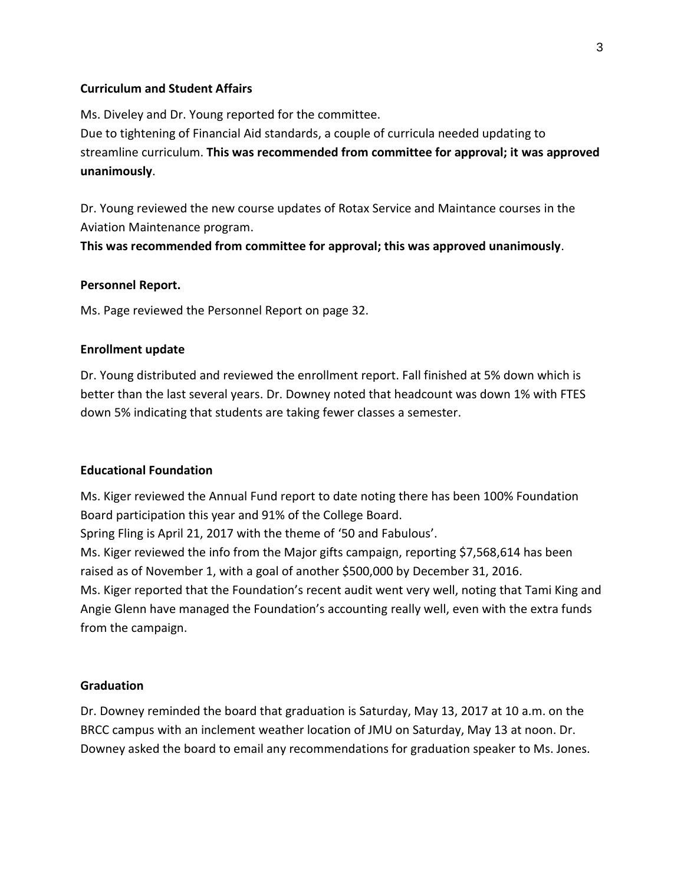## **Curriculum and Student Affairs**

Ms. Diveley and Dr. Young reported for the committee. Due to tightening of Financial Aid standards, a couple of curricula needed updating to streamline curriculum. **This was recommended from committee for approval; it was approved unanimously**.

Dr. Young reviewed the new course updates of Rotax Service and Maintance courses in the Aviation Maintenance program.

**This was recommended from committee for approval; this was approved unanimously**.

## **Personnel Report.**

Ms. Page reviewed the Personnel Report on page 32.

## **Enrollment update**

Dr. Young distributed and reviewed the enrollment report. Fall finished at 5% down which is better than the last several years. Dr. Downey noted that headcount was down 1% with FTES down 5% indicating that students are taking fewer classes a semester.

## **Educational Foundation**

Ms. Kiger reviewed the Annual Fund report to date noting there has been 100% Foundation Board participation this year and 91% of the College Board.

Spring Fling is April 21, 2017 with the theme of '50 and Fabulous'.

Ms. Kiger reviewed the info from the Major gifts campaign, reporting \$7,568,614 has been raised as of November 1, with a goal of another \$500,000 by December 31, 2016.

Ms. Kiger reported that the Foundation's recent audit went very well, noting that Tami King and Angie Glenn have managed the Foundation's accounting really well, even with the extra funds from the campaign.

## **Graduation**

Dr. Downey reminded the board that graduation is Saturday, May 13, 2017 at 10 a.m. on the BRCC campus with an inclement weather location of JMU on Saturday, May 13 at noon. Dr. Downey asked the board to email any recommendations for graduation speaker to Ms. Jones.